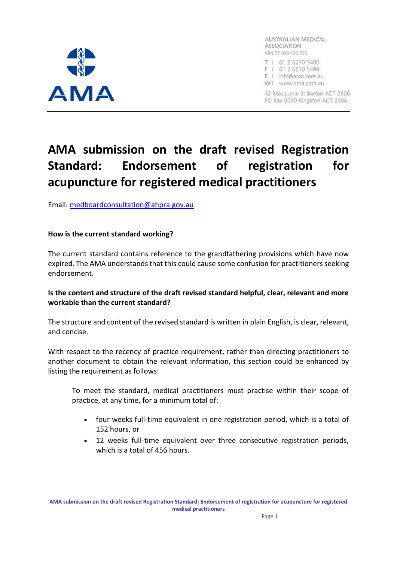

AUSTRALIAN MEDICAL **ASSOCIATION** ABN 37 008 426 793

T | 61 2 6270 5400 F | 61 2 6270 5499

E | info@ama.com.au

W | www.ama.com.au

42 Macquarie St Barton ACT 2600 PO Box 6090 Kingston ACT 2604

# **AMA submission on the draft revised Registration Standard: Endorsement of registration for acupuncture for registered medical practitioners**

Email: medboardconsultation@ahpra.gov.au

#### **How is the current standard working?**

The current standard contains reference to the grandfathering provisions which have now expired. The AMA understands that this could cause some confusion for practitioners seeking endorsement.

## **Is the content and structure of the draft revised standard helpful, clear, relevant and more workable than the current standard?**

The structure and content of the revised standard is written in plain English, is clear, relevant, and concise.

With respect to the recency of practice requirement, rather than directing practitioners to another document to obtain the relevant information, this section could be enhanced by listing the requirement as follows:

To meet the standard, medical practitioners must practise within their scope of practice, at any time, for a minimum total of:

- four weeks full-time equivalent in one registration period, which is a total of 152 hours, or
- 12 weeks full-time equivalent over three consecutive registration periods, which is a total of 456 hours.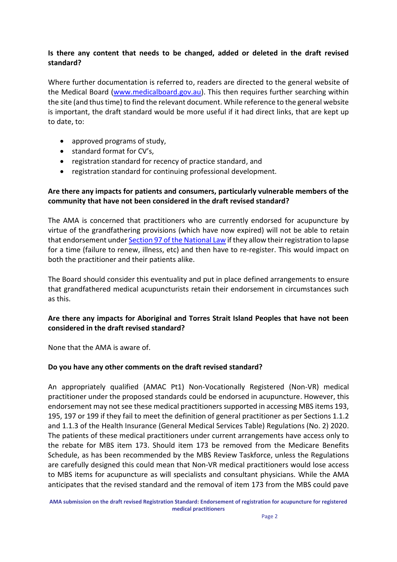## **Is there any content that needs to be changed, added or deleted in the draft revised standard?**

Where further documentation is referred to, readers are directed to the general website of the Medical Board (www.medicalboard.gov.au). This then requires further searching within the site (and thus time) to find the relevant document. While reference to the general website is important, the draft standard would be more useful if it had direct links, that are kept up to date, to:

- approved programs of study,
- standard format for CV's,
- registration standard for recency of practice standard, and
- registration standard for continuing professional development.

## **Are there any impacts for patients and consumers, particularly vulnerable members of the community that have not been considered in the draft revised standard?**

The AMA is concerned that practitioners who are currently endorsed for acupuncture by virtue of the grandfathering provisions (which have now expired) will not be able to retain that endorsement under Section 97 of the National Law if they allow their registration to lapse for a time (failure to renew, illness, etc) and then have to re-register. This would impact on both the practitioner and their patients alike.

The Board should consider this eventuality and put in place defined arrangements to ensure that grandfathered medical acupuncturists retain their endorsement in circumstances such as this.

## **Are there any impacts for Aboriginal and Torres Strait Island Peoples that have not been considered in the draft revised standard?**

None that the AMA is aware of.

#### **Do you have any other comments on the draft revised standard?**

An appropriately qualified (AMAC Pt1) Non-Vocationally Registered (Non-VR) medical practitioner under the proposed standards could be endorsed in acupuncture. However, this endorsement may not see these medical practitioners supported in accessing MBS items 193, 195, 197 or 199 if they fail to meet the definition of general practitioner as per Sections 1.1.2 and 1.1.3 of the Health Insurance (General Medical Services Table) Regulations (No. 2) 2020. The patients of these medical practitioners under current arrangements have access only to the rebate for MBS item 173. Should item 173 be removed from the Medicare Benefits Schedule, as has been recommended by the MBS Review Taskforce, unless the Regulations are carefully designed this could mean that Non-VR medical practitioners would lose access to MBS items for acupuncture as will specialists and consultant physicians. While the AMA anticipates that the revised standard and the removal of item 173 from the MBS could pave